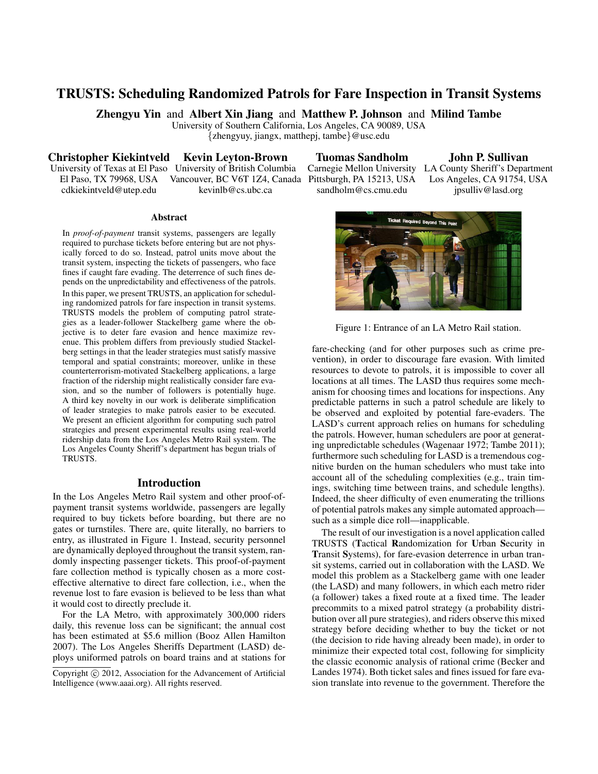# TRUSTS: Scheduling Randomized Patrols for Fare Inspection in Transit Systems

Zhengyu Yin and Albert Xin Jiang and Matthew P. Johnson and Milind Tambe

University of Southern California, Los Angeles, CA 90089, USA {zhengyuy, jiangx, matthepj, tambe}@usc.edu

Christopher Kiekintveld Kevin Leyton-Brown

University of Texas at El Paso University of British Columbia El Paso, TX 79968, USA Vancouver, BC V6T 1Z4, Canada Pittsburgh, PA 15213, USA cdkiekintveld@utep.edu kevinlb@cs.ubc.ca

Tuomas Sandholm Carnegie Mellon University LA County Sheriff's Department

John P. Sullivan

sandholm@cs.cmu.edu Los Angeles, CA 91754, USA jpsulliv@lasd.org



Figure 1: Entrance of an LA Metro Rail station.

fare-checking (and for other purposes such as crime prevention), in order to discourage fare evasion. With limited resources to devote to patrols, it is impossible to cover all locations at all times. The LASD thus requires some mechanism for choosing times and locations for inspections. Any predictable patterns in such a patrol schedule are likely to be observed and exploited by potential fare-evaders. The LASD's current approach relies on humans for scheduling the patrols. However, human schedulers are poor at generating unpredictable schedules (Wagenaar 1972; Tambe 2011); furthermore such scheduling for LASD is a tremendous cognitive burden on the human schedulers who must take into account all of the scheduling complexities (e.g., train timings, switching time between trains, and schedule lengths). Indeed, the sheer difficulty of even enumerating the trillions of potential patrols makes any simple automated approach such as a simple dice roll—inapplicable.

The result of our investigation is a novel application called TRUSTS (Tactical Randomization for Urban Security in Transit Systems), for fare-evasion deterrence in urban transit systems, carried out in collaboration with the LASD. We model this problem as a Stackelberg game with one leader (the LASD) and many followers, in which each metro rider (a follower) takes a fixed route at a fixed time. The leader precommits to a mixed patrol strategy (a probability distribution over all pure strategies), and riders observe this mixed strategy before deciding whether to buy the ticket or not (the decision to ride having already been made), in order to minimize their expected total cost, following for simplicity the classic economic analysis of rational crime (Becker and Landes 1974). Both ticket sales and fines issued for fare evasion translate into revenue to the government. Therefore the

#### **Abstract**

In *proof-of-payment* transit systems, passengers are legally required to purchase tickets before entering but are not physically forced to do so. Instead, patrol units move about the transit system, inspecting the tickets of passengers, who face fines if caught fare evading. The deterrence of such fines depends on the unpredictability and effectiveness of the patrols. In this paper, we present TRUSTS, an application for scheduling randomized patrols for fare inspection in transit systems. TRUSTS models the problem of computing patrol strategies as a leader-follower Stackelberg game where the objective is to deter fare evasion and hence maximize revenue. This problem differs from previously studied Stackelberg settings in that the leader strategies must satisfy massive temporal and spatial constraints; moreover, unlike in these counterterrorism-motivated Stackelberg applications, a large fraction of the ridership might realistically consider fare evasion, and so the number of followers is potentially huge. A third key novelty in our work is deliberate simplification of leader strategies to make patrols easier to be executed. We present an efficient algorithm for computing such patrol strategies and present experimental results using real-world ridership data from the Los Angeles Metro Rail system. The Los Angeles County Sheriff's department has begun trials of TRUSTS.

# Introduction

In the Los Angeles Metro Rail system and other proof-ofpayment transit systems worldwide, passengers are legally required to buy tickets before boarding, but there are no gates or turnstiles. There are, quite literally, no barriers to entry, as illustrated in Figure 1. Instead, security personnel are dynamically deployed throughout the transit system, randomly inspecting passenger tickets. This proof-of-payment fare collection method is typically chosen as a more costeffective alternative to direct fare collection, i.e., when the revenue lost to fare evasion is believed to be less than what it would cost to directly preclude it.

For the LA Metro, with approximately 300,000 riders daily, this revenue loss can be significant; the annual cost has been estimated at \$5.6 million (Booz Allen Hamilton 2007). The Los Angeles Sheriffs Department (LASD) deploys uniformed patrols on board trains and at stations for

Copyright  $\odot$  2012, Association for the Advancement of Artificial Intelligence (www.aaai.org). All rights reserved.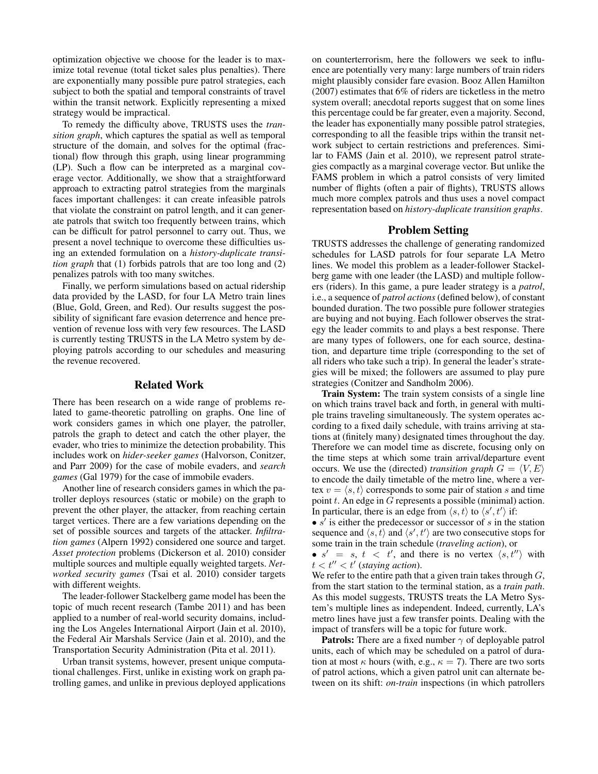optimization objective we choose for the leader is to maximize total revenue (total ticket sales plus penalties). There are exponentially many possible pure patrol strategies, each subject to both the spatial and temporal constraints of travel within the transit network. Explicitly representing a mixed strategy would be impractical.

To remedy the difficulty above, TRUSTS uses the *transition graph*, which captures the spatial as well as temporal structure of the domain, and solves for the optimal (fractional) flow through this graph, using linear programming (LP). Such a flow can be interpreted as a marginal coverage vector. Additionally, we show that a straightforward approach to extracting patrol strategies from the marginals faces important challenges: it can create infeasible patrols that violate the constraint on patrol length, and it can generate patrols that switch too frequently between trains, which can be difficult for patrol personnel to carry out. Thus, we present a novel technique to overcome these difficulties using an extended formulation on a *history-duplicate transition graph* that (1) forbids patrols that are too long and (2) penalizes patrols with too many switches.

Finally, we perform simulations based on actual ridership data provided by the LASD, for four LA Metro train lines (Blue, Gold, Green, and Red). Our results suggest the possibility of significant fare evasion deterrence and hence prevention of revenue loss with very few resources. The LASD is currently testing TRUSTS in the LA Metro system by deploying patrols according to our schedules and measuring the revenue recovered.

#### Related Work

There has been research on a wide range of problems related to game-theoretic patrolling on graphs. One line of work considers games in which one player, the patroller, patrols the graph to detect and catch the other player, the evader, who tries to minimize the detection probability. This includes work on *hider-seeker games* (Halvorson, Conitzer, and Parr 2009) for the case of mobile evaders, and *search games* (Gal 1979) for the case of immobile evaders.

Another line of research considers games in which the patroller deploys resources (static or mobile) on the graph to prevent the other player, the attacker, from reaching certain target vertices. There are a few variations depending on the set of possible sources and targets of the attacker. *Infiltration games* (Alpern 1992) considered one source and target. *Asset protection* problems (Dickerson et al. 2010) consider multiple sources and multiple equally weighted targets. *Networked security games* (Tsai et al. 2010) consider targets with different weights.

The leader-follower Stackelberg game model has been the topic of much recent research (Tambe 2011) and has been applied to a number of real-world security domains, including the Los Angeles International Airport (Jain et al. 2010), the Federal Air Marshals Service (Jain et al. 2010), and the Transportation Security Administration (Pita et al. 2011).

Urban transit systems, however, present unique computational challenges. First, unlike in existing work on graph patrolling games, and unlike in previous deployed applications on counterterrorism, here the followers we seek to influence are potentially very many: large numbers of train riders might plausibly consider fare evasion. Booz Allen Hamilton (2007) estimates that 6% of riders are ticketless in the metro system overall; anecdotal reports suggest that on some lines this percentage could be far greater, even a majority. Second, the leader has exponentially many possible patrol strategies, corresponding to all the feasible trips within the transit network subject to certain restrictions and preferences. Similar to FAMS (Jain et al. 2010), we represent patrol strategies compactly as a marginal coverage vector. But unlike the FAMS problem in which a patrol consists of very limited number of flights (often a pair of flights), TRUSTS allows much more complex patrols and thus uses a novel compact representation based on *history-duplicate transition graphs*.

# Problem Setting

TRUSTS addresses the challenge of generating randomized schedules for LASD patrols for four separate LA Metro lines. We model this problem as a leader-follower Stackelberg game with one leader (the LASD) and multiple followers (riders). In this game, a pure leader strategy is a *patrol*, i.e., a sequence of *patrol actions* (defined below), of constant bounded duration. The two possible pure follower strategies are buying and not buying. Each follower observes the strategy the leader commits to and plays a best response. There are many types of followers, one for each source, destination, and departure time triple (corresponding to the set of all riders who take such a trip). In general the leader's strategies will be mixed; the followers are assumed to play pure strategies (Conitzer and Sandholm 2006).

Train System: The train system consists of a single line on which trains travel back and forth, in general with multiple trains traveling simultaneously. The system operates according to a fixed daily schedule, with trains arriving at stations at (finitely many) designated times throughout the day. Therefore we can model time as discrete, focusing only on the time steps at which some train arrival/departure event occurs. We use the (directed) *transition graph*  $G = \langle V, E \rangle$ to encode the daily timetable of the metro line, where a vertex  $v = \langle s, t \rangle$  corresponds to some pair of station s and time point  $t$ . An edge in  $G$  represents a possible (minimal) action. In particular, there is an edge from  $\langle s, t \rangle$  to  $\langle s', t' \rangle$  if:

•  $s'$  is either the predecessor or successor of s in the station sequence and  $\langle s, t \rangle$  and  $\langle s', t' \rangle$  are two consecutive stops for some train in the train schedule (*traveling action*), or

•  $s' = s, t < t'$ , and there is no vertex  $\langle s, t'' \rangle$  with  $t < t'' < t'$  (staying action).

We refer to the entire path that a given train takes through  $G$ , from the start station to the terminal station, as a *train path*. As this model suggests, TRUSTS treats the LA Metro System's multiple lines as independent. Indeed, currently, LA's metro lines have just a few transfer points. Dealing with the impact of transfers will be a topic for future work.

**Patrols:** There are a fixed number  $\gamma$  of deployable patrol units, each of which may be scheduled on a patrol of duration at most  $\kappa$  hours (with, e.g.,  $\kappa = 7$ ). There are two sorts of patrol actions, which a given patrol unit can alternate between on its shift: *on-train* inspections (in which patrollers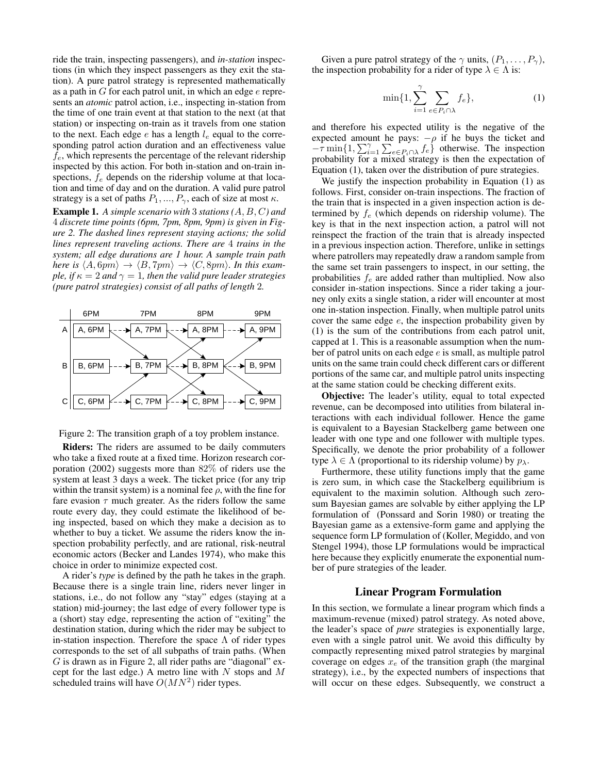ride the train, inspecting passengers), and *in-station* inspections (in which they inspect passengers as they exit the station). A pure patrol strategy is represented mathematically as a path in  $G$  for each patrol unit, in which an edge  $e$  represents an *atomic* patrol action, i.e., inspecting in-station from the time of one train event at that station to the next (at that station) or inspecting on-train as it travels from one station to the next. Each edge  $e$  has a length  $l_e$  equal to the corresponding patrol action duration and an effectiveness value  $f_e$ , which represents the percentage of the relevant ridership inspected by this action. For both in-station and on-train inspections,  $f_e$  depends on the ridership volume at that location and time of day and on the duration. A valid pure patrol strategy is a set of paths  $P_1, ..., P_\gamma$ , each of size at most  $\kappa$ .

Example 1. *A simple scenario with* 3 *stations (*A, B, C*) and* 4 *discrete time points (6pm, 7pm, 8pm, 9pm) is given in Figure 2. The dashed lines represent staying actions; the solid lines represent traveling actions. There are* 4 *trains in the system; all edge durations are 1 hour. A sample train path here is*  $\langle A, 6pm \rangle \rightarrow \langle B, 7pm \rangle \rightarrow \langle C, 8pm \rangle$ *. In this example, if*  $\kappa = 2$  *and*  $\gamma = 1$ *, then the valid pure leader strategies (pure patrol strategies) consist of all paths of length* 2*.*



Figure 2: The transition graph of a toy problem instance.

Riders: The riders are assumed to be daily commuters who take a fixed route at a fixed time. Horizon research corporation (2002) suggests more than 82% of riders use the system at least 3 days a week. The ticket price (for any trip within the transit system) is a nominal fee  $\rho$ , with the fine for fare evasion  $\tau$  much greater. As the riders follow the same route every day, they could estimate the likelihood of being inspected, based on which they make a decision as to whether to buy a ticket. We assume the riders know the inspection probability perfectly, and are rational, risk-neutral economic actors (Becker and Landes 1974), who make this choice in order to minimize expected cost.

A rider's *type* is defined by the path he takes in the graph. Because there is a single train line, riders never linger in stations, i.e., do not follow any "stay" edges (staying at a station) mid-journey; the last edge of every follower type is a (short) stay edge, representing the action of "exiting" the destination station, during which the rider may be subject to in-station inspection. Therefore the space  $\Lambda$  of rider types corresponds to the set of all subpaths of train paths. (When  $G$  is drawn as in Figure 2, all rider paths are "diagonal" except for the last edge.) A metro line with  $N$  stops and  $M$ scheduled trains will have  $O(MN^2)$  rider types.

Given a pure patrol strategy of the  $\gamma$  units,  $(P_1, \ldots, P_\gamma)$ , the inspection probability for a rider of type  $\lambda \in \Lambda$  is:

$$
\min\{1, \sum_{i=1}^{\gamma} \sum_{e \in P_i \cap \lambda} f_e\},\tag{1}
$$

and therefore his expected utility is the negative of the expected amount he pays:  $-\rho$  if he buys the ticket and  $-\tau \min\{1, \sum_{i=1}^{N} \sum_{e \in P_i \cap \lambda} f_e\}$  otherwise. The inspection probability for a mixed strategy is then the expectation of Equation (1), taken over the distribution of pure strategies.

We justify the inspection probability in Equation (1) as follows. First, consider on-train inspections. The fraction of the train that is inspected in a given inspection action is determined by  $f_e$  (which depends on ridership volume). The key is that in the next inspection action, a patrol will not reinspect the fraction of the train that is already inspected in a previous inspection action. Therefore, unlike in settings where patrollers may repeatedly draw a random sample from the same set train passengers to inspect, in our setting, the probabilities  $f_e$  are added rather than multiplied. Now also consider in-station inspections. Since a rider taking a journey only exits a single station, a rider will encounter at most one in-station inspection. Finally, when multiple patrol units cover the same edge  $e$ , the inspection probability given by (1) is the sum of the contributions from each patrol unit, capped at 1. This is a reasonable assumption when the number of patrol units on each edge  $e$  is small, as multiple patrol units on the same train could check different cars or different portions of the same car, and multiple patrol units inspecting at the same station could be checking different exits.

Objective: The leader's utility, equal to total expected revenue, can be decomposed into utilities from bilateral interactions with each individual follower. Hence the game is equivalent to a Bayesian Stackelberg game between one leader with one type and one follower with multiple types. Specifically, we denote the prior probability of a follower type  $\lambda \in \Lambda$  (proportional to its ridership volume) by  $p_{\lambda}$ .

Furthermore, these utility functions imply that the game is zero sum, in which case the Stackelberg equilibrium is equivalent to the maximin solution. Although such zerosum Bayesian games are solvable by either applying the LP formulation of (Ponssard and Sorin 1980) or treating the Bayesian game as a extensive-form game and applying the sequence form LP formulation of (Koller, Megiddo, and von Stengel 1994), those LP formulations would be impractical here because they explicitly enumerate the exponential number of pure strategies of the leader.

# Linear Program Formulation

In this section, we formulate a linear program which finds a maximum-revenue (mixed) patrol strategy. As noted above, the leader's space of *pure* strategies is exponentially large, even with a single patrol unit. We avoid this difficulty by compactly representing mixed patrol strategies by marginal coverage on edges  $x_e$  of the transition graph (the marginal strategy), i.e., by the expected numbers of inspections that will occur on these edges. Subsequently, we construct a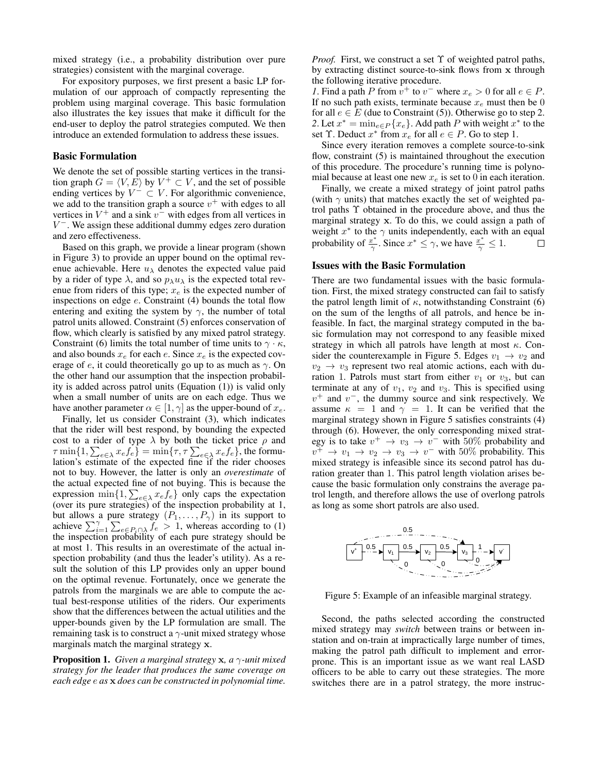mixed strategy (i.e., a probability distribution over pure strategies) consistent with the marginal coverage.

For expository purposes, we first present a basic LP formulation of our approach of compactly representing the problem using marginal coverage. This basic formulation also illustrates the key issues that make it difficult for the end-user to deploy the patrol strategies computed. We then introduce an extended formulation to address these issues.

#### Basic Formulation

We denote the set of possible starting vertices in the transition graph  $G = \langle V, E \rangle$  by  $V^+ \subset V$ , and the set of possible ending vertices by  $V^- \subset V$ . For algorithmic convenience, we add to the transition graph a source  $v^{+}$  with edges to all vertices in  $V^+$  and a sink  $v^-$  with edges from all vertices in V <sup>−</sup>. We assign these additional dummy edges zero duration and zero effectiveness.

Based on this graph, we provide a linear program (shown in Figure 3) to provide an upper bound on the optimal revenue achievable. Here  $u_{\lambda}$  denotes the expected value paid by a rider of type  $\lambda$ , and so  $p_{\lambda}u_{\lambda}$  is the expected total revenue from riders of this type;  $x_e$  is the expected number of inspections on edge e. Constraint (4) bounds the total flow entering and exiting the system by  $\gamma$ , the number of total patrol units allowed. Constraint (5) enforces conservation of flow, which clearly is satisfied by any mixed patrol strategy. Constraint (6) limits the total number of time units to  $\gamma \cdot \kappa$ , and also bounds  $x_e$  for each e. Since  $x_e$  is the expected coverage of  $e$ , it could theoretically go up to as much as  $\gamma$ . On the other hand our assumption that the inspection probability is added across patrol units (Equation (1)) is valid only when a small number of units are on each edge. Thus we have another parameter  $\alpha \in [1, \gamma]$  as the upper-bound of  $x_e$ .

Finally, let us consider Constraint (3), which indicates that the rider will best respond, by bounding the expected cost to a rider of type  $\lambda$  by both the ticket price  $\rho$  and  $\tau \min\{1,\sum_{e\in \lambda} x_e f_e\} = \min\{\tau,\tau \sum_{e\in \lambda} x_e f_e\},$  the formulation's estimate of the expected fine if the rider chooses not to buy. However, the latter is only an *overestimate* of the actual expected fine of not buying. This is because the expression  $\min\{1, \sum_{e \in \lambda} x_e f_e\}$  only caps the expectation (over its pure strategies) of the inspection probability at 1, but allows a pure strategy  $(P_1, \ldots, P_\gamma)$  in its support to achieve  $\sum_{i=1}^{\gamma} \sum_{e \in P_i \cap \lambda} f_e > 1$ , whereas according to (1) the inspection probability of each pure strategy should be at most 1. This results in an overestimate of the actual inspection probability (and thus the leader's utility). As a result the solution of this LP provides only an upper bound on the optimal revenue. Fortunately, once we generate the patrols from the marginals we are able to compute the actual best-response utilities of the riders. Our experiments show that the differences between the actual utilities and the upper-bounds given by the LP formulation are small. The remaining task is to construct a  $\gamma$ -unit mixed strategy whose marginals match the marginal strategy x.

Proposition 1. *Given a marginal strategy* x*, a* γ*-unit mixed strategy for the leader that produces the same coverage on each edge* e *as* x *does can be constructed in polynomial time.*

*Proof.* First, we construct a set Υ of weighted patrol paths, by extracting distinct source-to-sink flows from x through the following iterative procedure.

*1*. Find a path P from  $v^+$  to  $v^-$  where  $x_e > 0$  for all  $e \in P$ . If no such path exists, terminate because  $x_e$  must then be 0 for all  $e \in E$  (due to Constraint (5)). Otherwise go to step 2. 2. Let  $x^* = \min_{e \in P} \{x_e\}$ . Add path P with weight  $x^*$  to the set  $\Upsilon$ . Deduct  $x^*$  from  $x_e$  for all  $e \in P$ . Go to step 1.

Since every iteration removes a complete source-to-sink flow, constraint (5) is maintained throughout the execution of this procedure. The procedure's running time is polynomial because at least one new  $x_e$  is set to 0 in each iteration.

Finally, we create a mixed strategy of joint patrol paths (with  $\gamma$  units) that matches exactly the set of weighted patrol paths Υ obtained in the procedure above, and thus the marginal strategy x. To do this, we could assign a path of weight  $x^*$  to the  $\gamma$  units independently, each with an equal probability of  $\frac{x^*}{\gamma}$  $\frac{x^*}{\gamma}$ . Since  $x^* \leq \gamma$ , we have  $\frac{x^*}{\gamma} \leq 1$ .  $\Box$ 

# Issues with the Basic Formulation

There are two fundamental issues with the basic formulation. First, the mixed strategy constructed can fail to satisfy the patrol length limit of  $\kappa$ , notwithstanding Constraint (6) on the sum of the lengths of all patrols, and hence be infeasible. In fact, the marginal strategy computed in the basic formulation may not correspond to any feasible mixed strategy in which all patrols have length at most  $\kappa$ . Consider the counterexample in Figure 5. Edges  $v_1 \rightarrow v_2$  and  $v_2 \rightarrow v_3$  represent two real atomic actions, each with duration 1. Patrols must start from either  $v_1$  or  $v_3$ , but can terminate at any of  $v_1$ ,  $v_2$  and  $v_3$ . This is specified using  $v^{+}$  and  $v^{-}$ , the dummy source and sink respectively. We assume  $\kappa = 1$  and  $\gamma = 1$ . It can be verified that the marginal strategy shown in Figure 5 satisfies constraints (4) through (6). However, the only corresponding mixed strategy is to take  $v^+ \rightarrow v_3 \rightarrow v^-$  with 50% probability and  $v^+ \rightarrow v_1 \rightarrow v_2 \rightarrow v_3 \rightarrow v^-$  with 50% probability. This mixed strategy is infeasible since its second patrol has duration greater than 1. This patrol length violation arises because the basic formulation only constrains the average patrol length, and therefore allows the use of overlong patrols as long as some short patrols are also used.



Figure 5: Example of an infeasible marginal strategy.

Second, the paths selected according the constructed mixed strategy may *switch* between trains or between instation and on-train at impractically large number of times, making the patrol path difficult to implement and errorprone. This is an important issue as we want real LASD officers to be able to carry out these strategies. The more switches there are in a patrol strategy, the more instruc-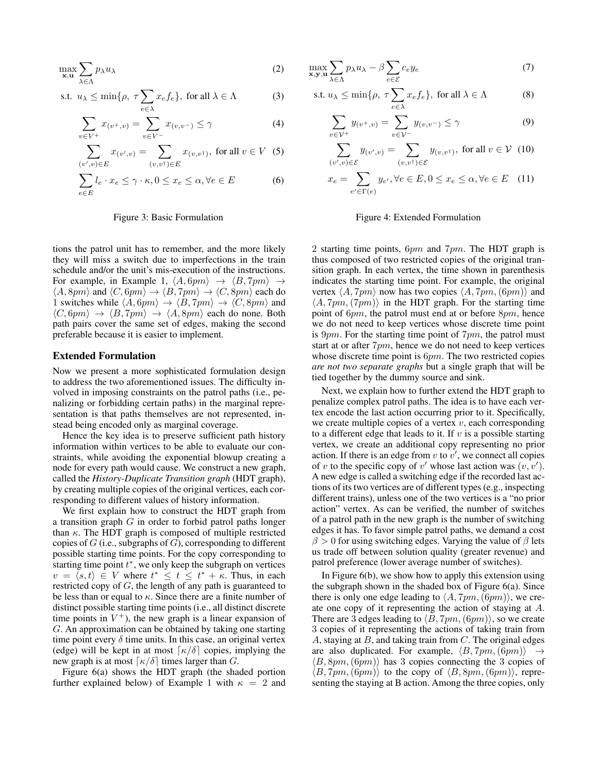$$
\max_{\mathbf{x}, \mathbf{u}} \sum_{\lambda \in \Lambda} p_{\lambda} u_{\lambda} \tag{2}
$$

s.t. 
$$
u_{\lambda} \le \min\{\rho, \tau \sum_{e \in \lambda} x_e f_e\}
$$
, for all  $\lambda \in \Lambda$  (3)

$$
\sum_{v \in V^{+}} x_{(v^{+}, v)} = \sum_{v \in V^{-}} x_{(v, v^{-})} \le \gamma
$$
\n(4)

$$
\sum_{(v',v)\in E} x_{(v',v)} = \sum_{(v,v^{\dagger})\in E} x_{(v,v^{\dagger})}, \text{ for all } v \in V \tag{5}
$$

$$
\sum_{e \in E} l_e \cdot x_e \le \gamma \cdot \kappa, 0 \le x_e \le \alpha, \forall e \in E \tag{6}
$$

#### Figure 3: Basic Formulation

tions the patrol unit has to remember, and the more likely they will miss a switch due to imperfections in the train schedule and/or the unit's mis-execution of the instructions. For example, in Example 1,  $\langle A, 6pm \rangle \rightarrow \langle B, 7pm \rangle \rightarrow$  $\langle A, 8pm \rangle$  and  $\langle C, 6pm \rangle \rightarrow \langle B, 7pm \rangle \rightarrow \langle C, 8pm \rangle$  each do 1 switches while  $\langle A, 6pm \rangle \rightarrow \langle B, 7pm \rangle \rightarrow \langle C, 8pm \rangle$  and  $\langle C, 6pm \rangle \rightarrow \langle B, 7pm \rangle \rightarrow \langle A, 8pm \rangle$  each do none. Both path pairs cover the same set of edges, making the second preferable because it is easier to implement.

#### Extended Formulation

Now we present a more sophisticated formulation design to address the two aforementioned issues. The difficulty involved in imposing constraints on the patrol paths (i.e., penalizing or forbidding certain paths) in the marginal representation is that paths themselves are not represented, instead being encoded only as marginal coverage.

Hence the key idea is to preserve sufficient path history information within vertices to be able to evaluate our constraints, while avoiding the exponential blowup creating a node for every path would cause. We construct a new graph, called the *History-Duplicate Transition graph* (HDT graph), by creating multiple copies of the original vertices, each corresponding to different values of history information.

We first explain how to construct the HDT graph from a transition graph  $G$  in order to forbid patrol paths longer than  $\kappa$ . The HDT graph is composed of multiple restricted copies of  $G$  (i.e., subgraphs of  $G$ ), corresponding to different possible starting time points. For the copy corresponding to starting time point  $t^*$ , we only keep the subgraph on vertices  $v = \langle s, t \rangle \in V$  where  $t^* \leq t \leq t^* + \kappa$ . Thus, in each restricted copy of  $G$ , the length of any path is guaranteed to be less than or equal to  $\kappa$ . Since there are a finite number of distinct possible starting time points (i.e., all distinct discrete time points in  $V^+$ ), the new graph is a linear expansion of G. An approximation can be obtained by taking one starting time point every  $\delta$  time units. In this case, an original vertex (edge) will be kept in at most  $\lceil \kappa/\delta \rceil$  copies, implying the new graph is at most  $\lceil \kappa/\delta \rceil$  times larger than G.

Figure 6(a) shows the HDT graph (the shaded portion further explained below) of Example 1 with  $\kappa = 2$  and

$$
\max_{\mathbf{x},\mathbf{y},\mathbf{u}} \sum_{\lambda \in \Lambda} p_{\lambda} u_{\lambda} - \beta \sum_{e \in \mathcal{E}} c_e y_e \tag{7}
$$

s.t. 
$$
u_{\lambda} \le \min\{\rho, \ \tau \sum_{e \in \lambda} x_e f_e\}
$$
, for all  $\lambda \in \Lambda$  (8)

$$
\sum_{v \in \mathcal{V}^+} y_{(v^+,v)} = \sum_{v \in \mathcal{V}^-} y_{(v,v^-)} \le \gamma \tag{9}
$$

$$
\sum_{(v',v)\in\mathcal{E}} y_{(v',v)} = \sum_{(v,v^{\dagger})\in\mathcal{E}} y_{(v,v^{\dagger})}, \text{ for all } v \in \mathcal{V} \tag{10}
$$

$$
x_e = \sum_{e' \in \Gamma(e)} y_{e'}, \forall e \in E, 0 \le x_e \le \alpha, \forall e \in E \quad (11)
$$

#### Figure 4: Extended Formulation

2 starting time points,  $6pm$  and  $7pm$ . The HDT graph is thus composed of two restricted copies of the original transition graph. In each vertex, the time shown in parenthesis indicates the starting time point. For example, the original vertex  $\langle A, 7pm \rangle$  now has two copies  $\langle A, 7pm, (6pm) \rangle$  and  $\langle A, 7pm, (7pm) \rangle$  in the HDT graph. For the starting time point of 6pm, the patrol must end at or before 8pm, hence we do not need to keep vertices whose discrete time point is  $9pm$ . For the starting time point of  $7pm$ , the patrol must start at or after 7pm, hence we do not need to keep vertices whose discrete time point is  $6pm$ . The two restricted copies *are not two separate graphs* but a single graph that will be tied together by the dummy source and sink.

Next, we explain how to further extend the HDT graph to penalize complex patrol paths. The idea is to have each vertex encode the last action occurring prior to it. Specifically, we create multiple copies of a vertex  $v$ , each corresponding to a different edge that leads to it. If  $v$  is a possible starting vertex, we create an additional copy representing no prior action. If there is an edge from  $v$  to  $v'$ , we connect all copies of v to the specific copy of v' whose last action was  $(v, v')$ . A new edge is called a switching edge if the recorded last actions of its two vertices are of different types (e.g., inspecting different trains), unless one of the two vertices is a "no prior action" vertex. As can be verified, the number of switches of a patrol path in the new graph is the number of switching edges it has. To favor simple patrol paths, we demand a cost  $\beta > 0$  for using switching edges. Varying the value of  $\beta$  lets us trade off between solution quality (greater revenue) and patrol preference (lower average number of switches).

In Figure  $6(b)$ , we show how to apply this extension using the subgraph shown in the shaded box of Figure 6(a). Since there is only one edge leading to  $\langle A, 7pm, (6pm) \rangle$ , we create one copy of it representing the action of staying at A. There are 3 edges leading to  $\langle B, 7pm, (6pm) \rangle$ , so we create 3 copies of it representing the actions of taking train from A, staying at  $B$ , and taking train from  $C$ . The original edges are also duplicated. For example,  $\langle B, 7pm, (6pm) \rangle$  $\langle B, 8pm, (6pm) \rangle$  has 3 copies connecting the 3 copies of  $\langle B, 7pm, (6pm) \rangle$  to the copy of  $\langle B, 8pm, (6pm) \rangle$ , representing the staying at B action. Among the three copies, only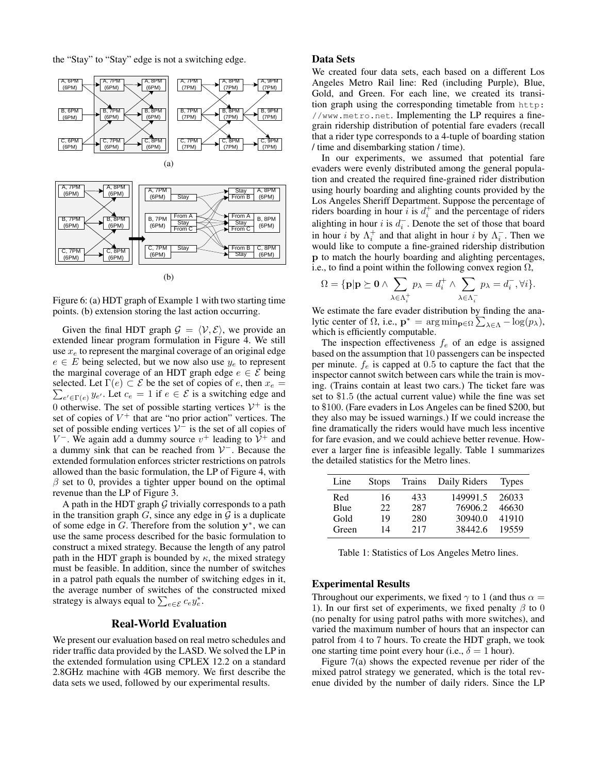the "Stay" to "Stay" edge is not a switching edge.



Figure 6: (a) HDT graph of Example 1 with two starting time points. (b) extension storing the last action occurring.

Given the final HDT graph  $\mathcal{G} = \langle \mathcal{V}, \mathcal{E} \rangle$ , we provide an extended linear program formulation in Figure 4. We still use  $x_e$  to represent the marginal coverage of an original edge  $e \in E$  being selected, but we now also use  $y_e$  to represent the marginal coverage of an HDT graph edge  $e \in \mathcal{E}$  being selected. Let  $\Gamma(e) \subset \mathcal{E}$  be the set of copies of e, then  $x_e =$  $\sum_{e' \in \Gamma(e)} y_{e'}$ . Let  $c_e = 1$  if  $e \in \mathcal{E}$  is a switching edge and 0 otherwise. The set of possible starting vertices  $V^+$  is the set of copies of  $V^+$  that are "no prior action" vertices. The set of possible ending vertices  $V^-$  is the set of all copies of V<sup>-</sup>. We again add a dummy source  $v^+$  leading to  $\mathcal{V}^+$  and a dummy sink that can be reached from  $V^-$ . Because the extended formulation enforces stricter restrictions on patrols allowed than the basic formulation, the LP of Figure 4, with  $\beta$  set to 0, provides a tighter upper bound on the optimal revenue than the LP of Figure 3.

A path in the HDT graph  $G$  trivially corresponds to a path in the transition graph  $G$ , since any edge in  $G$  is a duplicate of some edge in  $G$ . Therefore from the solution  $y^*$ , we can use the same process described for the basic formulation to construct a mixed strategy. Because the length of any patrol path in the HDT graph is bounded by  $\kappa$ , the mixed strategy must be feasible. In addition, since the number of switches in a patrol path equals the number of switching edges in it, the average number of switches of the constructed mixed strategy is always equal to  $\sum_{e \in \mathcal{E}} c_e y_e^*$ .

# Real-World Evaluation

We present our evaluation based on real metro schedules and rider traffic data provided by the LASD. We solved the LP in the extended formulation using CPLEX 12.2 on a standard 2.8GHz machine with 4GB memory. We first describe the data sets we used, followed by our experimental results.

# Data Sets

We created four data sets, each based on a different Los Angeles Metro Rail line: Red (including Purple), Blue, Gold, and Green. For each line, we created its transition graph using the corresponding timetable from http: //www.metro.net. Implementing the LP requires a finegrain ridership distribution of potential fare evaders (recall that a rider type corresponds to a 4-tuple of boarding station / time and disembarking station / time).

In our experiments, we assumed that potential fare evaders were evenly distributed among the general population and created the required fine-grained rider distribution using hourly boarding and alighting counts provided by the Los Angeles Sheriff Department. Suppose the percentage of riders boarding in hour i is  $d_i^+$  and the percentage of riders alighting in hour *i* is  $d_i^-$ . Denote the set of those that board in hour *i* by  $\Lambda_i^+$  and that alight in hour *i* by  $\Lambda_i^-$ . Then we would like to compute a fine-grained ridership distribution p to match the hourly boarding and alighting percentages, i.e., to find a point within the following convex region  $\Omega$ ,

$$
\Omega = \{ \mathbf{p} | \mathbf{p} \succeq \mathbf{0} \wedge \sum_{\lambda \in \Lambda_i^+} p_{\lambda} = d_i^+ \wedge \sum_{\lambda \in \Lambda_i^-} p_{\lambda} = d_i^- , \forall i \}.
$$

We estimate the fare evader distribution by finding the analytic center of  $\Omega$ , i.e.,  $\mathbf{p}^* = \arg \min_{\mathbf{p} \in \Omega} \sum_{\lambda \in \Lambda} -\log(p_\lambda)$ , which is efficiently computable.

The inspection effectiveness  $f_e$  of an edge is assigned based on the assumption that 10 passengers can be inspected per minute.  $f_e$  is capped at 0.5 to capture the fact that the inspector cannot switch between cars while the train is moving. (Trains contain at least two cars.) The ticket fare was set to \$1.5 (the actual current value) while the fine was set to \$100. (Fare evaders in Los Angeles can be fined \$200, but they also may be issued warnings.) If we could increase the fine dramatically the riders would have much less incentive for fare evasion, and we could achieve better revenue. However a larger fine is infeasible legally. Table 1 summarizes the detailed statistics for the Metro lines.

| Line  | <b>Stops</b> | <b>Trains</b> | Daily Riders | <b>Types</b> |
|-------|--------------|---------------|--------------|--------------|
| Red   | 16           | 433           | 149991.5     | 26033        |
| Blue  | 22           | 287           | 76906.2      | 46630        |
| Gold  | 19           | 280           | 30940.0      | 41910        |
| Green | 14           | 217           | 38442.6      | 19559        |

Table 1: Statistics of Los Angeles Metro lines.

### Experimental Results

Throughout our experiments, we fixed  $\gamma$  to 1 (and thus  $\alpha =$ 1). In our first set of experiments, we fixed penalty  $\beta$  to 0 (no penalty for using patrol paths with more switches), and varied the maximum number of hours that an inspector can patrol from 4 to 7 hours. To create the HDT graph, we took one starting time point every hour (i.e.,  $\delta = 1$  hour).

Figure 7(a) shows the expected revenue per rider of the mixed patrol strategy we generated, which is the total revenue divided by the number of daily riders. Since the LP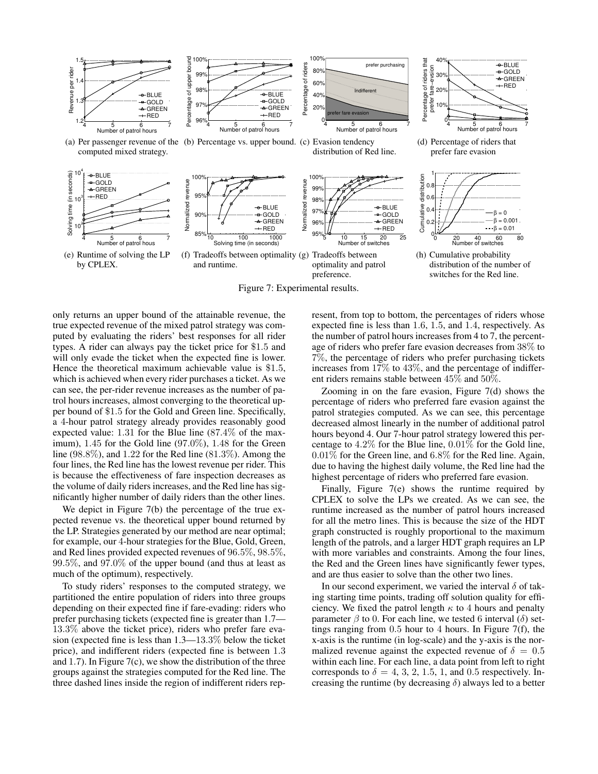

Figure 7: Experimental results.

only returns an upper bound of the attainable revenue, the true expected revenue of the mixed patrol strategy was computed by evaluating the riders' best responses for all rider types. A rider can always pay the ticket price for \$1.5 and will only evade the ticket when the expected fine is lower. Hence the theoretical maximum achievable value is \$1.5, which is achieved when every rider purchases a ticket. As we can see, the per-rider revenue increases as the number of patrol hours increases, almost converging to the theoretical upper bound of \$1.5 for the Gold and Green line. Specifically, a 4-hour patrol strategy already provides reasonably good expected value: 1.31 for the Blue line (87.4% of the maximum),  $1.45$  for the Gold line  $(97.0\%)$ ,  $1.48$  for the Green line  $(98.8\%)$ , and  $1.22$  for the Red line  $(81.3\%)$ . Among the four lines, the Red line has the lowest revenue per rider. This is because the effectiveness of fare inspection decreases as the volume of daily riders increases, and the Red line has significantly higher number of daily riders than the other lines.

We depict in Figure 7(b) the percentage of the true expected revenue vs. the theoretical upper bound returned by the LP. Strategies generated by our method are near optimal; for example, our 4-hour strategies for the Blue, Gold, Green, and Red lines provided expected revenues of 96.5%, 98.5%, 99.5%, and 97.0% of the upper bound (and thus at least as much of the optimum), respectively.

To study riders' responses to the computed strategy, we partitioned the entire population of riders into three groups depending on their expected fine if fare-evading: riders who prefer purchasing tickets (expected fine is greater than 1.7— 13.3% above the ticket price), riders who prefer fare evasion (expected fine is less than 1.3—13.3% below the ticket price), and indifferent riders (expected fine is between 1.3 and 1.7). In Figure  $7(c)$ , we show the distribution of the three groups against the strategies computed for the Red line. The three dashed lines inside the region of indifferent riders represent, from top to bottom, the percentages of riders whose expected fine is less than 1.6, 1.5, and 1.4, respectively. As the number of patrol hours increases from 4 to 7, the percentage of riders who prefer fare evasion decreases from 38% to 7%, the percentage of riders who prefer purchasing tickets increases from 17% to 43%, and the percentage of indifferent riders remains stable between 45% and 50%.

Zooming in on the fare evasion, Figure 7(d) shows the percentage of riders who preferred fare evasion against the patrol strategies computed. As we can see, this percentage decreased almost linearly in the number of additional patrol hours beyond 4. Our 7-hour patrol strategy lowered this percentage to 4.2% for the Blue line, 0.01% for the Gold line, 0.01% for the Green line, and 6.8% for the Red line. Again, due to having the highest daily volume, the Red line had the highest percentage of riders who preferred fare evasion.

Finally, Figure 7(e) shows the runtime required by CPLEX to solve the LPs we created. As we can see, the runtime increased as the number of patrol hours increased for all the metro lines. This is because the size of the HDT graph constructed is roughly proportional to the maximum length of the patrols, and a larger HDT graph requires an LP with more variables and constraints. Among the four lines, the Red and the Green lines have significantly fewer types, and are thus easier to solve than the other two lines.

In our second experiment, we varied the interval  $\delta$  of taking starting time points, trading off solution quality for efficiency. We fixed the patrol length  $\kappa$  to 4 hours and penalty parameter  $\beta$  to 0. For each line, we tested 6 interval ( $\delta$ ) settings ranging from 0.5 hour to 4 hours. In Figure 7(f), the x-axis is the runtime (in log-scale) and the y-axis is the normalized revenue against the expected revenue of  $\delta = 0.5$ within each line. For each line, a data point from left to right corresponds to  $\delta = 4, 3, 2, 1.5, 1,$  and 0.5 respectively. Increasing the runtime (by decreasing  $\delta$ ) always led to a better